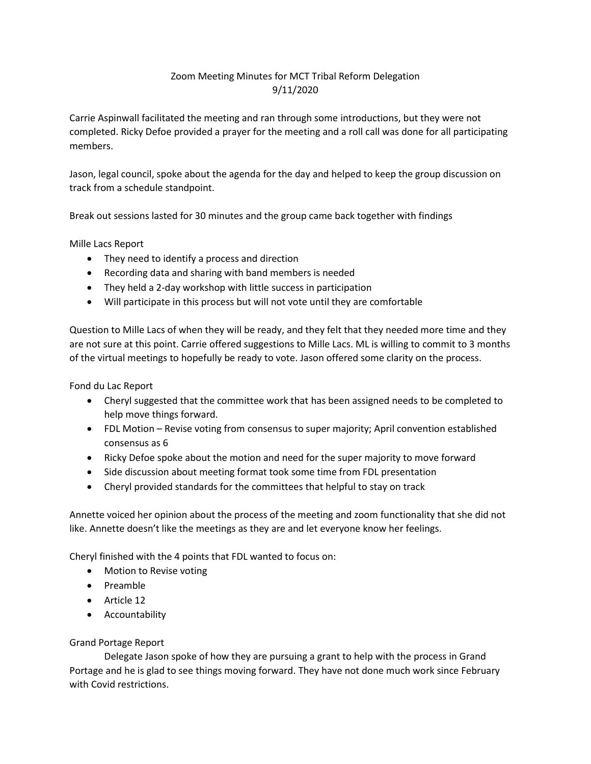## Zoom Meeting Minutes for MCT Tribal Reform Delegation 9/11/2020

Carrie Aspinwall facilitated the meeting and ran through some introductions, but they were not completed. Ricky Defoe provided a prayer for the meeting and a roll call was done for all participating members.

Jason, legal council, spoke about the agenda for the day and helped to keep the group discussion on track from a schedule standpoint.

Break out sessions lasted for 30 minutes and the group came back together with findings

Mille Lacs Report

- They need to identify a process and direction
- Recording data and sharing with band members is needed
- They held a 2-day workshop with little success in participation
- Will participate in this process but will not vote until they are comfortable

Question to Mille Lacs of when they will be ready, and they felt that they needed more time and they are not sure at this point. Carrie offered suggestions to Mille Lacs. ML is willing to commit to 3 months of the virtual meetings to hopefully be ready to vote. Jason offered some clarity on the process.

Fond du Lac Report

- Cheryl suggested that the committee work that has been assigned needs to be completed to help move things forward.
- FDL Motion Revise voting from consensus to super majority; April convention established consensus as 6
- Ricky Defoe spoke about the motion and need for the super majority to move forward
- Side discussion about meeting format took some time from FDL presentation
- Cheryl provided standards for the committees that helpful to stay on track

Annette voiced her opinion about the process of the meeting and zoom functionality that she did not like. Annette doesn't like the meetings as they are and let everyone know her feelings.

Cheryl finished with the 4 points that FDL wanted to focus on:

- Motion to Revise voting
- Preamble
- Article 12
- Accountability

## Grand Portage Report

Delegate Jason spoke of how they are pursuing a grant to help with the process in Grand Portage and he is glad to see things moving forward. They have not done much work since February with Covid restrictions.